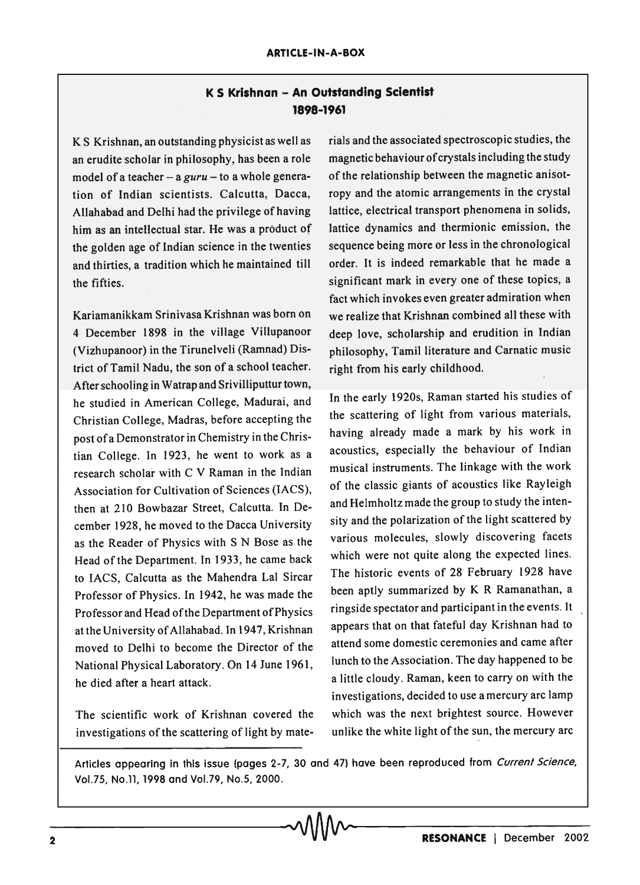## K **S Krishnan - An outstanding Scientist 1898-1961**

K S Krishnan, an outstanding physicist as well as an erudite scholar in philosophy, has been a role model of a teacher - a *guru* - to a whole generation of Indian scientists. Calcutta, Dacca, Allahabad and Delhi had the privilege of having him as an intellectual star. He was a product of the golden age of Indian science in the twenties and thirties, a tradition which he maintained till the fifties.

Kariamanikkam Srinivasa Krishnan was born on 4 December 1898 in the village Villupanoor (Vizhupanoor) in the Tirunelveli (Ramnad) District of Tamil Nadu, the son of a school teacher. After schooling in Watrap and Srivilliputtur town, he studied in American College, Madurai, and Christian College, Madras, before accepting the post of a Demonstrator in Chemistry in the Christian College. In 1923, he went to work as a research scholar with C V Raman in the Indian Association for Cultivation of Sciences (lACS), then at 210 Bowbazar Street, Calcutta. In December 1928, he moved to the Dacca University as the Reader of Physics with S N Bose as the Head of the Department. In 1933, he came back to lACS, Calcutta as the Mahendra Lal Sircar Professor of Physics. In 1942, he was made the Professor and Head of the Department of Physics at the University of Allahabad. In 1947, Krishnan moved to Delhi to become the Director of the National Physical Laboratory. On 14 June 1961, he died after a heart attack.

The scientific work of Krishnan covered the investigations of the scattering of light by materials and the associated spectroscopic studies, the magnetic behaviour of crystals including the study of the relationship between the magnetic anisotropy and the atomic arrangements in the crystal lattice, electrical transport phenomena in solids, lattice dynamics and thermionic emission, the sequence being more or less in the chronological order. It is indeed remarkable that he made a significant mark in every one of these topics, a fact which invokes even greater admiration when we realize that Krishnan combined all these with deep love, scholarship and erudition in Indian philosophy, Tamil literature and Carnatic music right from his early childhood.

In the early 1920s, Raman started his studies of the scattering of light from various materials, having already made a mark by his work in acoustics, especially the behaviour of Indian musical instruments. The linkage with the work of the classic giants of acoustics like Rayleigh and Helmholtz made the group to study the intensity and the polarization of the light scattered by various molecules, slowly discovering facets which were not quite along the expected lines. The historic events of 28 February 1928 have been aptly summarized by K R Ramanathan, a ringside spectator and participant in the events. It appears that on that fateful day Krishnan had to attend some domestic ceremonies and came after lunch to the Association. The day happened to be a little cloudy. Raman, keen to carryon with the investigations, decided to use a mercury arc lamp which was the next brightest source. However unlike the white light of the sun, the mercury arc

Articles appearing in this issue (pages 2-7, 30 and 47) have been reproduced from Current Science, VoI.7S, No.ll, 1998 and Vo1.79, No.5, 2000.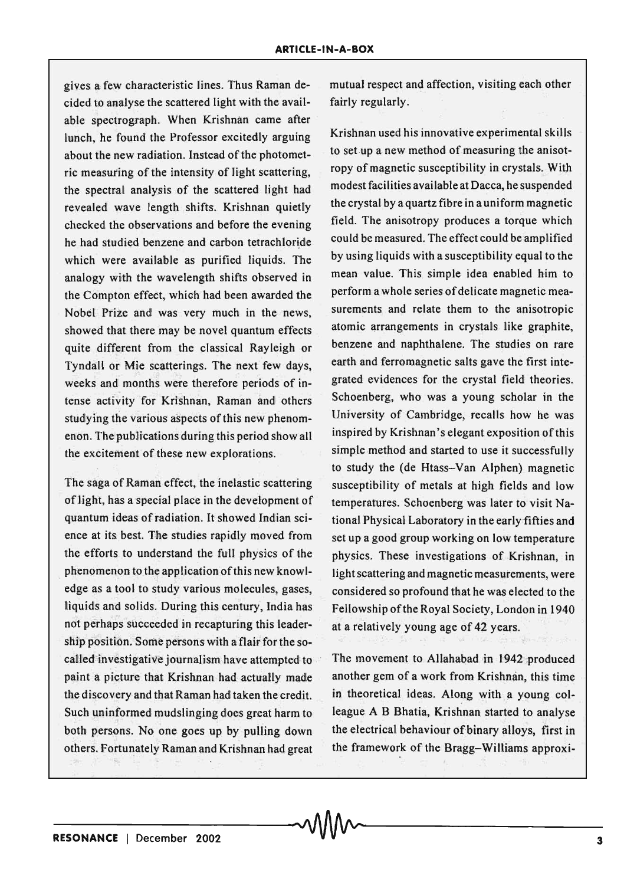gives a few characteristic lines. Thus Raman decided to analyse the scattered light with the available spectrograph. When Krishnan came after lunch, he found the Professor excitedly arguing about the new radiation. Instead of the photometric measuring of the intensity of light scattering, the spectral analysis of the scattered light had revealed wave length shifts. Krishnan quietly checked the observations and before the evening he had studied benzene and carbon tetrachloride which were available as purified liquids. The analogy with the wavelength shifts observed in the Compton effect, which had been awarded the Nobel Prize and was very much in the news, showed that there may be novel quantum effects quite different from the classical Rayleigh or Tyndall or Mie scatterings. The next few days, weeks and months were therefore periods of intense activity for Krishnan, Raman and others studying the various aspects of this new phenomenon. The publications during this period show all the excitement of these new explorations.

The saga of Raman effect, the inelastic scattering of light, has a special place in the development of quantum ideas of radiation. It showed Indian science at its best. The studies rapidly moved from the efforts to understand the full physics of the phenomenon to the application of this new knowledge as a tool to study various molecules, gases, liquids and solids. During this century, India has not perhaps succeeded in recapturing this leadership position. Some persons with a flair for the socalled investigative journalism have attempted to paint a picture that Krishnan had actually made the discovery and that Raman had taken the credit. Such uninformed mudslinging does great harm to both persons. No one goes up by pulling down others. Fortunately Raman and Krishnan had great

mutual respect and affection, visiting each other fairly regularly.

Krishnan used his innovative experimental skills to set up a new method of measuring the anisotropy of magnetic susceptibility in crystals. With modest facilities available at Dacca, he suspended the crystal by a quartz fibre in auniform magnetic field. The anisotropy produces a torque which could be measured. The effect could be amplified by using liquids with a susceptibility equal to the mean value. This simple idea enabled him to perform a whole series of delicate magnetic measurements and relate them to the anisotropic atomic arrangements in crystals like graphite, benzene and naphthalene. The studies on rare earth and ferromagnetic salts gave the first integrated evidences for the crystal field theories. Schoenberg, who was a young scholar in the University of Cambridge, recalls how he was inspired by Krishnan's elegant exposition of this simple method and started to use it successfully to study the (de Htass-Van Alphen) magnetic susceptibility of metals at high fields and low temperatures. Schoenberg was later to visit National PhySical Laboratory in the early fifties and set up a good group working on low temperature physics. These investigations of Krishnan, in light scattering and magnetic measurements, were considered so profound that he was elected to the Fellowship of the Royal Society, London in 1940 at a relatively young age of 42 years.

The movement to Allahabad in 1942 produced another gem of a work from Krishnan, this time in theoretical ideas. Along with a young colleague A B Bhatia, Krishnan started to analyse the electrical behaviour of binary alloys, first in the framework of the Bragg-Williams approxi-